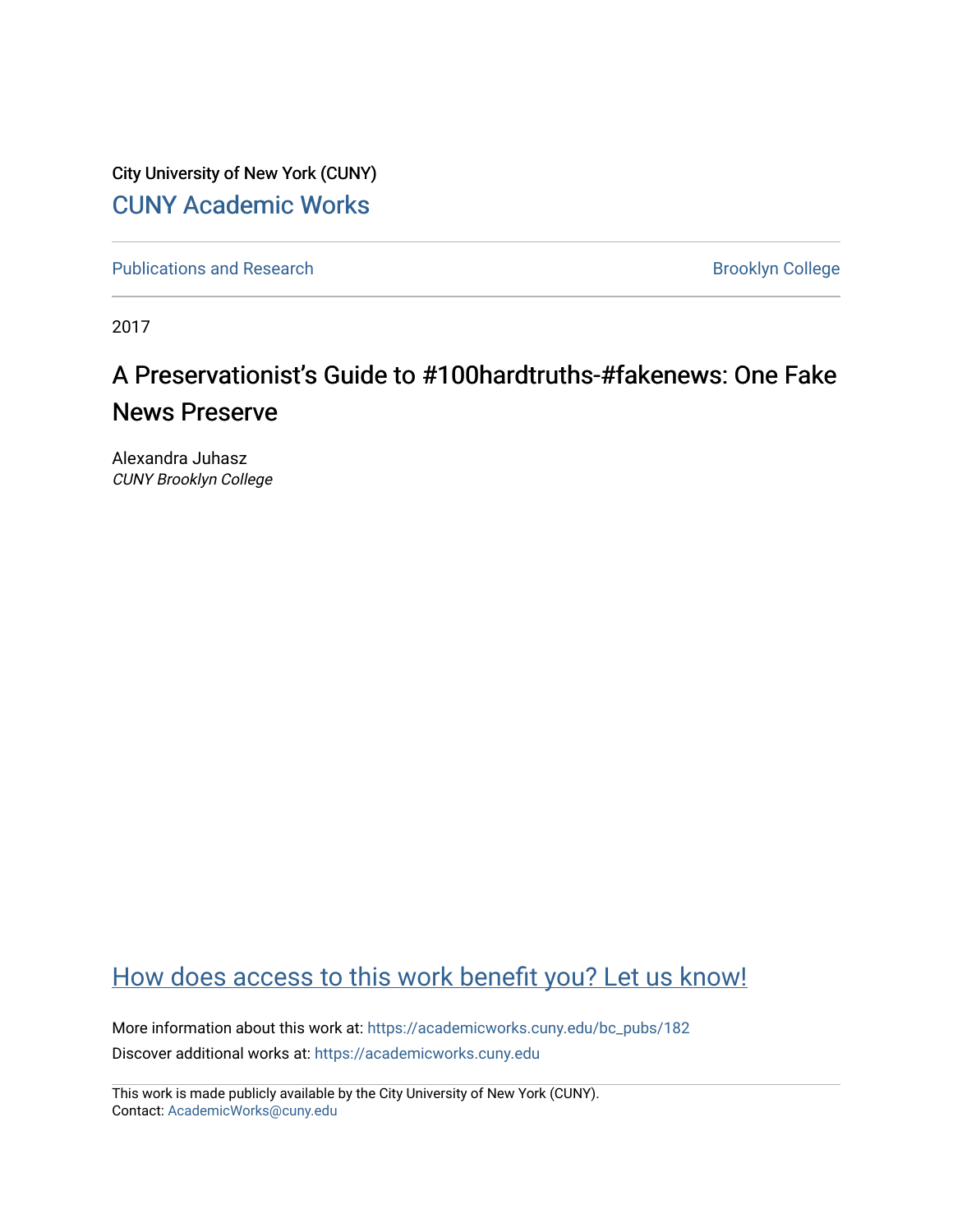City University of New York (CUNY) [CUNY Academic Works](https://academicworks.cuny.edu/) 

[Publications and Research](https://academicworks.cuny.edu/bc_pubs) **Brooklyn College** Brooklyn College

2017

# A Preservationist's Guide to #100hardtruths-#fakenews: One Fake News Preserve

Alexandra Juhasz CUNY Brooklyn College

## [How does access to this work benefit you? Let us know!](http://ols.cuny.edu/academicworks/?ref=https://academicworks.cuny.edu/bc_pubs/182)

More information about this work at: [https://academicworks.cuny.edu/bc\\_pubs/182](https://academicworks.cuny.edu/bc_pubs/182) Discover additional works at: [https://academicworks.cuny.edu](https://academicworks.cuny.edu/?)

This work is made publicly available by the City University of New York (CUNY). Contact: [AcademicWorks@cuny.edu](mailto:AcademicWorks@cuny.edu)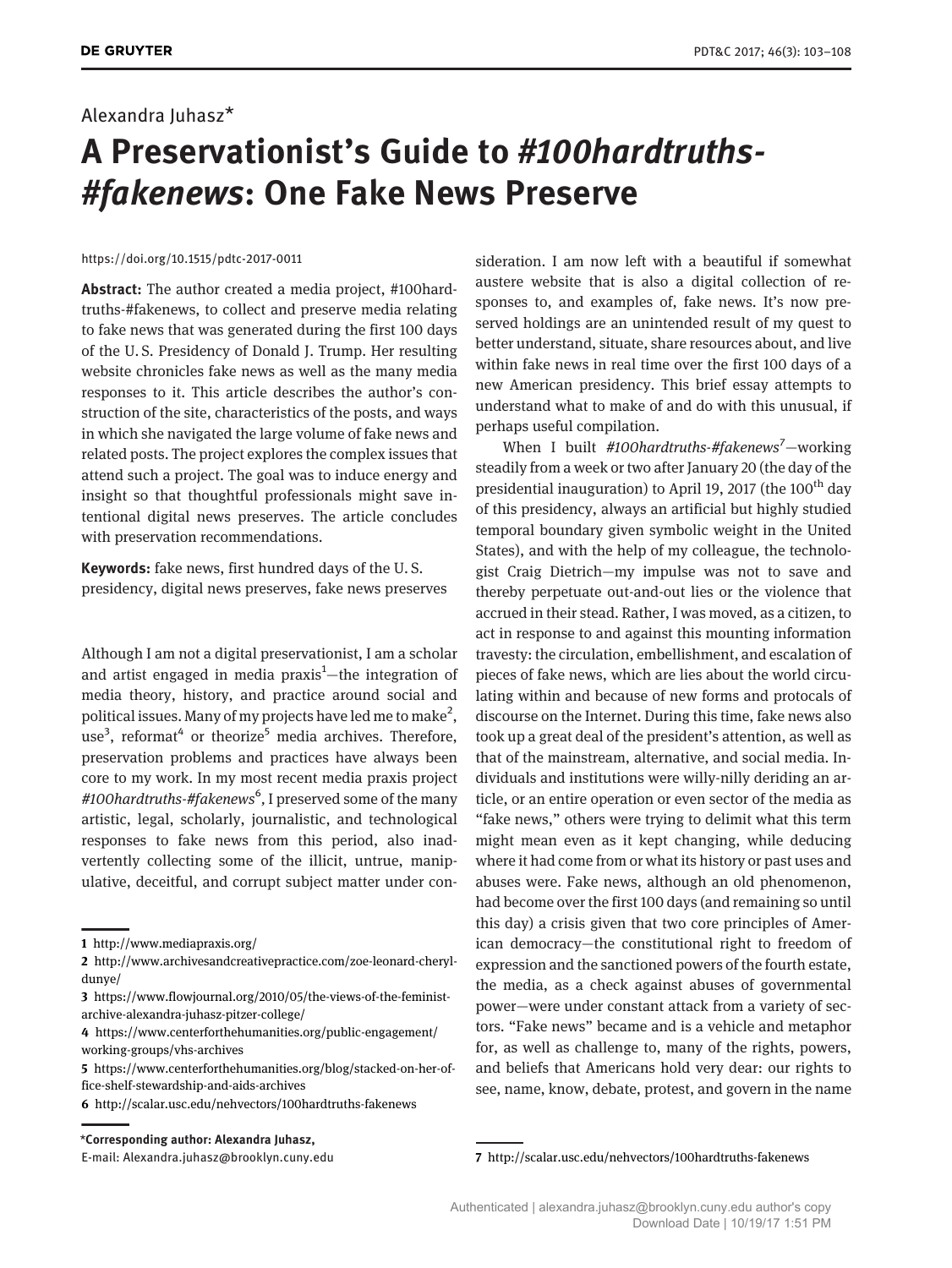### Alexandra Juhasz\*

# **A Preservationist's Guide to** *#100hardtruths- #fakenews***: One Fake News Preserve**

#### https://doi.org/10.1515/pdtc-2017-0011

**Abstract:** The author created a media project, #100hardtruths-#fakenews, to collect and preserve media relating to fake news that was generated during the first 100 days of the U. S. Presidency of Donald J. Trump. Her resulting website chronicles fake news as well as the many media responses to it. This article describes the author's construction of the site, characteristics of the posts, and ways in which she navigated the large volume of fake news and related posts. The project explores the complex issues that attend such a project. The goal was to induce energy and insight so that thoughtful professionals might save intentional digital news preserves. The article concludes with preservation recommendations.

**Keywords:** fake news, first hundred days of the U. S. presidency, digital news preserves, fake news preserves

Although I am not a digital preservationist, I am a scholar and artist engaged in media praxis<sup>1</sup>—the integration of media theory, history, and practice around social and political issues. Many of my projects have led me to make<sup>2</sup>, use<sup>3</sup>, reformat<sup>4</sup> or theorize<sup>5</sup> media archives. Therefore, preservation problems and practices have always been core to my work. In my most recent media praxis project *#100hardtruths-#fakenews*<sup>6</sup> *,* I preserved some of the many artistic, legal, scholarly, journalistic, and technological responses to fake news from this period, also inadvertently collecting some of the illicit, untrue, manipulative, deceitful, and corrupt subject matter under con-

\***Corresponding author: Alexandra Juhasz,** 

E-mail: Alexandra.juhasz@brooklyn.cuny.edu

sideration. I am now left with a beautiful if somewhat austere website that is also a digital collection of responses to, and examples of, fake news. It's now preserved holdings are an unintended result of my quest to better understand, situate, share resources about, and live within fake news in real time over the first 100 days of a new American presidency. This brief essay attempts to understand what to make of and do with this unusual, if perhaps useful compilation.

When I built #100hardtruths-#fakenews<sup>7</sup>-working steadily from a week or two after January 20 (the day of the presidential inauguration) to April 19, 2017 (the 100<sup>th</sup> day of this presidency, always an artificial but highly studied temporal boundary given symbolic weight in the United States), and with the help of my colleague, the technologist Craig Dietrich—my impulse was not to save and thereby perpetuate out-and-out lies or the violence that accrued in their stead. Rather, I was moved, as a citizen, to act in response to and against this mounting information travesty: the circulation, embellishment, and escalation of pieces of fake news, which are lies about the world circulating within and because of new forms and protocals of discourse on the Internet. During this time, fake news also took up a great deal of the president's attention, as well as that of the mainstream, alternative, and social media. Individuals and institutions were willy-nilly deriding an article, or an entire operation or even sector of the media as "fake news," others were trying to delimit what this term might mean even as it kept changing, while deducing where it had come from or what its history or past uses and abuses were. Fake news, although an old phenomenon, had become over the first 100 days (and remaining so until this day) a crisis given that two core principles of American democracy—the constitutional right to freedom of expression and the sanctioned powers of the fourth estate, the media, as a check against abuses of governmental power—were under constant attack from a variety of sectors. "Fake news" became and is a vehicle and metaphor for, as well as challenge to, many of the rights, powers, and beliefs that Americans hold very dear: our rights to see, name, know, debate, protest, and govern in the name

**<sup>1</sup>** http://www.mediapraxis.org/

**<sup>2</sup>** http://www.archivesandcreativepractice.com/zoe-leonard-cheryldunye/

**<sup>3</sup>** https://www.flowjournal.org/2010/05/the-views-of-the-feministarchive-alexandra-juhasz-pitzer-college/

**<sup>4</sup>** https://www.centerforthehumanities.org/public-engagement/ working-groups/vhs-archives

**<sup>5</sup>** https://www.centerforthehumanities.org/blog/stacked-on-her-office-shelf-stewardship-and-aids-archives

**<sup>6</sup>** http://scalar.usc.edu/nehvectors/100hardtruths-fakenews

**<sup>7</sup>** http://scalar.usc.edu/nehvectors/100hardtruths-fakenews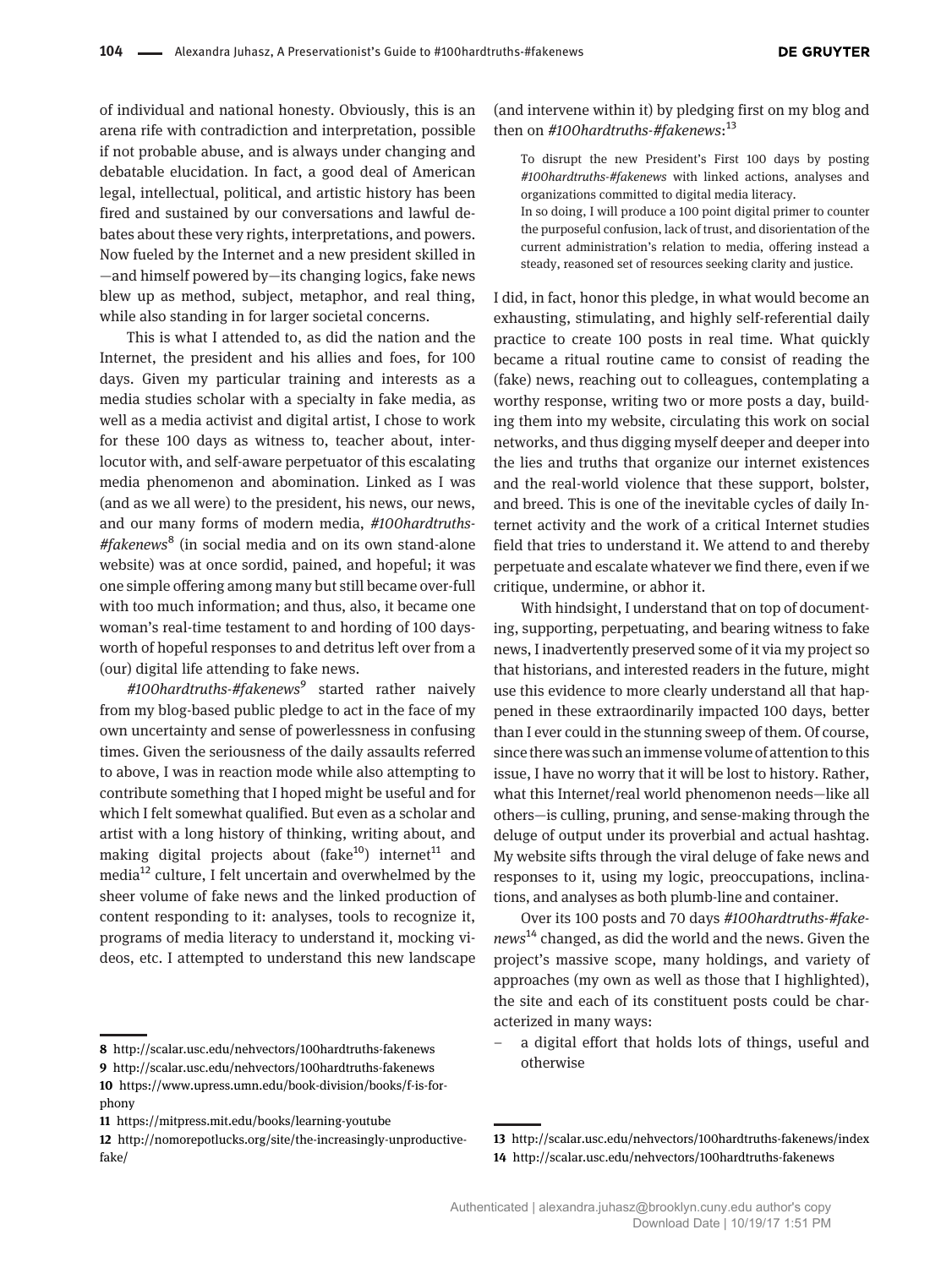of individual and national honesty. Obviously, this is an arena rife with contradiction and interpretation, possible if not probable abuse, and is always under changing and debatable elucidation. In fact, a good deal of American legal, intellectual, political, and artistic history has been fired and sustained by our conversations and lawful debates about these very rights, interpretations, and powers. Now fueled by the Internet and a new president skilled in —and himself powered by—its changing logics, fake news blew up as method, subject, metaphor, and real thing, while also standing in for larger societal concerns.

This is what I attended to, as did the nation and the Internet, the president and his allies and foes, for 100 days. Given my particular training and interests as a media studies scholar with a specialty in fake media, as well as a media activist and digital artist, I chose to work for these 100 days as witness to, teacher about, interlocutor with, and self-aware perpetuator of this escalating media phenomenon and abomination. Linked as I was (and as we all were) to the president, his news, our news, and our many forms of modern media, *#100hardtruths- #fakenews*8 (in social media and on its own stand-alone website) was at once sordid, pained, and hopeful; it was one simple offering among many but still became over-full with too much information; and thus, also, it became one woman's real-time testament to and hording of 100 daysworth of hopeful responses to and detritus left over from a (our) digital life attending to fake news.

*#100hardtruths-#fakenews*9 started rather naively from my blog-based public pledge to act in the face of my own uncertainty and sense of powerlessness in confusing times. Given the seriousness of the daily assaults referred to above, I was in reaction mode while also attempting to contribute something that I hoped might be useful and for which I felt somewhat qualified. But even as a scholar and artist with a long history of thinking, writing about, and making digital projects about (fake $10$ ) internet<sup>11</sup> and media<sup>12</sup> culture, I felt uncertain and overwhelmed by the sheer volume of fake news and the linked production of content responding to it: analyses, tools to recognize it, programs of media literacy to understand it, mocking videos, etc. I attempted to understand this new landscape

(and intervene within it) by pledging first on my blog and then on *#100hardtruths-#fakenews*: 13

To disrupt the new President's First 100 days by posting *#100hardtruths-#fakenews* with linked actions, analyses and organizations committed to digital media literacy.

In so doing, I will produce a 100 point digital primer to counter the purposeful confusion, lack of trust, and disorientation of the current administration's relation to media, offering instead a steady, reasoned set of resources seeking clarity and justice.

I did, in fact, honor this pledge, in what would become an exhausting, stimulating, and highly self-referential daily practice to create 100 posts in real time. What quickly became a ritual routine came to consist of reading the (fake) news, reaching out to colleagues, contemplating a worthy response, writing two or more posts a day, building them into my website, circulating this work on social networks, and thus digging myself deeper and deeper into the lies and truths that organize our internet existences and the real-world violence that these support, bolster, and breed. This is one of the inevitable cycles of daily Internet activity and the work of a critical Internet studies field that tries to understand it. We attend to and thereby perpetuate and escalate whatever we find there, even if we critique, undermine, or abhor it.

With hindsight, I understand that on top of documenting, supporting, perpetuating, and bearing witness to fake news, I inadvertently preserved some of it via my project so that historians, and interested readers in the future, might use this evidence to more clearly understand all that happened in these extraordinarily impacted 100 days, better than I ever could in the stunning sweep of them. Of course, since there was such an immense volume of attention to this issue, I have no worry that it will be lost to history. Rather, what this Internet/real world phenomenon needs—like all others—is culling, pruning, and sense-making through the deluge of output under its proverbial and actual hashtag. My website sifts through the viral deluge of fake news and responses to it, using my logic, preoccupations, inclinations, and analyses as both plumb-line and container.

Over its 100 posts and 70 days *#100hardtruths-#fakenews*14 changed, as did the world and the news. Given the project's massive scope, many holdings, and variety of approaches (my own as well as those that I highlighted), the site and each of its constituent posts could be characterized in many ways:

– a digital effort that holds lots of things, useful and otherwise

**<sup>8</sup>** http://scalar.usc.edu/nehvectors/100hardtruths-fakenews

**<sup>9</sup>** http://scalar.usc.edu/nehvectors/100hardtruths-fakenews

**<sup>10</sup>** https://www.upress.umn.edu/book-division/books/f-is-forphony

**<sup>11</sup>** https://mitpress.mit.edu/books/learning-youtube

**<sup>12</sup>** http://nomorepotlucks.org/site/the-increasingly-unproductivefake/

**<sup>13</sup>** http://scalar.usc.edu/nehvectors/100hardtruths-fakenews/index **14** http://scalar.usc.edu/nehvectors/100hardtruths-fakenews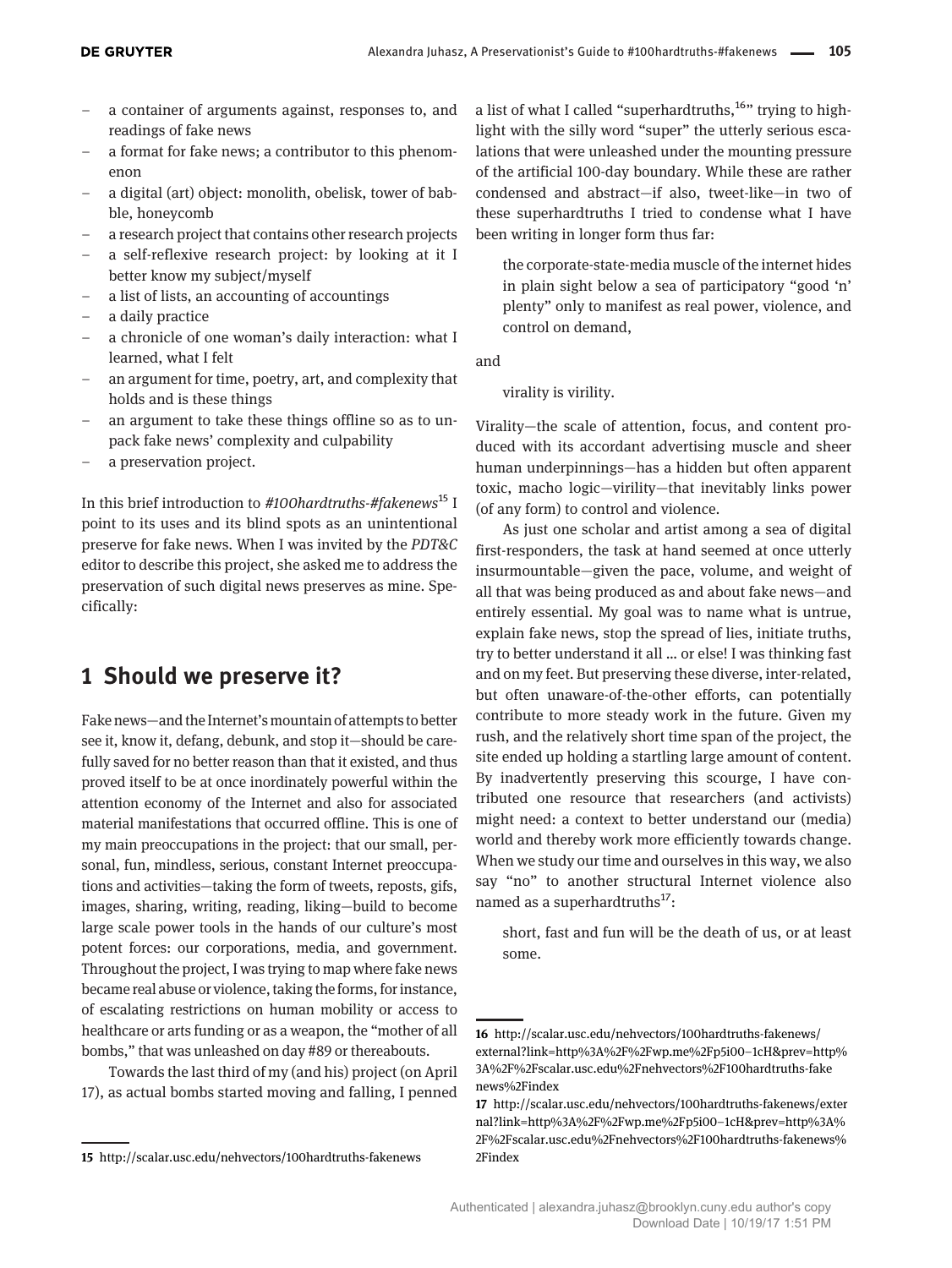- a container of arguments against, responses to, and readings of fake news
- a format for fake news; a contributor to this phenomenon
- a digital (art) object: monolith, obelisk, tower of babble, honeycomb
- a research project that contains other research projects
- a self-reflexive research project: by looking at it I better know my subject/myself
- a list of lists, an accounting of accountings
- a daily practice
- a chronicle of one woman's daily interaction: what I learned, what I felt
- an argument for time, poetry, art, and complexity that holds and is these things
- an argument to take these things offline so as to unpack fake news' complexity and culpability
- a preservation project.

In this brief introduction to *#100hardtruths-#fakenews*15 I point to its uses and its blind spots as an unintentional preserve for fake news. When I was invited by the *PDT&C*  editor to describe this project, she asked me to address the preservation of such digital news preserves as mine. Specifically:

### **1 Should we preserve it?**

Fake news—and the Internet's mountain of attempts to better see it, know it, defang, debunk, and stop it—should be carefully saved for no better reason than that it existed, and thus proved itself to be at once inordinately powerful within the attention economy of the Internet and also for associated material manifestations that occurred offline. This is one of my main preoccupations in the project: that our small, personal, fun, mindless, serious, constant Internet preoccupations and activities—taking the form of tweets, reposts, gifs, images, sharing, writing, reading, liking—build to become large scale power tools in the hands of our culture's most potent forces: our corporations, media, and government. Throughout the project, I was trying to map where fake news became real abuse or violence, taking the forms, for instance, of escalating restrictions on human mobility or access to healthcare or arts funding or as a weapon, the "mother of all bombs," that was unleashed on day #89 or thereabouts.

Towards the last third of my (and his) project (on April 17), as actual bombs started moving and falling, I penned a list of what I called "superhardtruths, $16$ " trying to highlight with the silly word "super" the utterly serious escalations that were unleashed under the mounting pressure of the artificial 100-day boundary. While these are rather condensed and abstract—if also, tweet-like—in two of these superhardtruths I tried to condense what I have been writing in longer form thus far:

the corporate-state-media muscle of the internet hides in plain sight below a sea of participatory "good 'n' plenty" only to manifest as real power, violence, and control on demand,

and

virality is virility.

Virality—the scale of attention, focus, and content produced with its accordant advertising muscle and sheer human underpinnings—has a hidden but often apparent toxic, macho logic—virility—that inevitably links power (of any form) to control and violence.

As just one scholar and artist among a sea of digital first-responders, the task at hand seemed at once utterly insurmountable—given the pace, volume, and weight of all that was being produced as and about fake news—and entirely essential. My goal was to name what is untrue, explain fake news, stop the spread of lies, initiate truths, try to better understand it all … or else! I was thinking fast and on my feet. But preserving these diverse, inter-related, but often unaware-of-the-other efforts, can potentially contribute to more steady work in the future. Given my rush, and the relatively short time span of the project, the site ended up holding a startling large amount of content. By inadvertently preserving this scourge, I have contributed one resource that researchers (and activists) might need: a context to better understand our (media) world and thereby work more efficiently towards change. When we study our time and ourselves in this way, we also say "no" to another structural Internet violence also named as a superhard truths $^{17}$ :

short, fast and fun will be the death of us, or at least some.

**<sup>15</sup>** http://scalar.usc.edu/nehvectors/100hardtruths-fakenews

**<sup>16</sup>** http://scalar.usc.edu/nehvectors/100hardtruths-fakenews/ external?link=http%3A%2F%2Fwp.me%2Fp5i00–1cH&prev=http% 3A%2F%2Fscalar.usc.edu%2Fnehvectors%2F100hardtruths-fake news%2Findex

**<sup>17</sup>** http://scalar.usc.edu/nehvectors/100hardtruths-fakenews/exter nal?link=http%3A%2F%2Fwp.me%2Fp5i00–1cH&prev=http%3A% 2F%2Fscalar.usc.edu%2Fnehvectors%2F100hardtruths-fakenews% 2Findex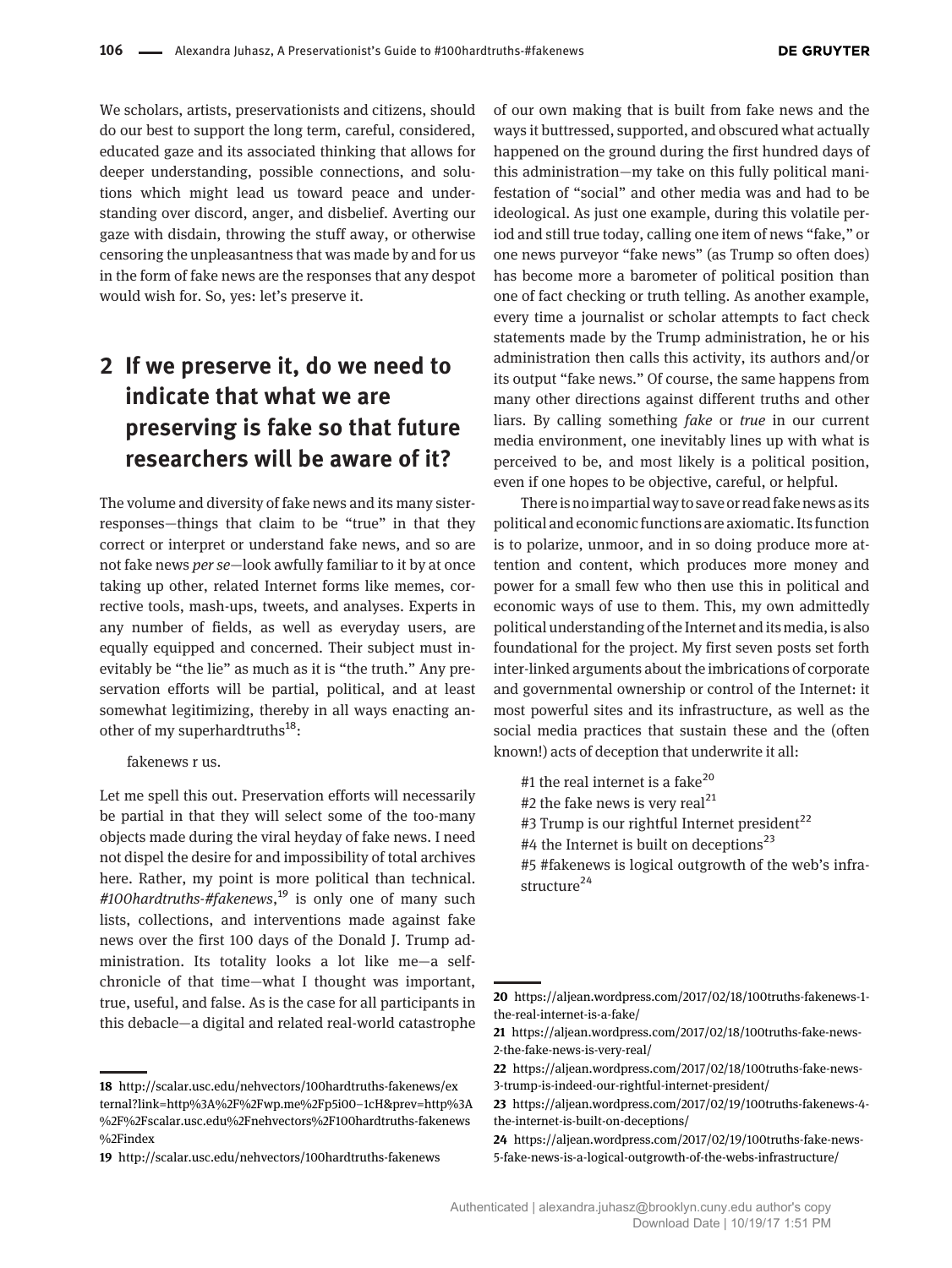We scholars, artists, preservationists and citizens, should do our best to support the long term, careful, considered, educated gaze and its associated thinking that allows for deeper understanding, possible connections, and solutions which might lead us toward peace and understanding over discord, anger, and disbelief. Averting our gaze with disdain, throwing the stuff away, or otherwise censoring the unpleasantness that was made by and for us in the form of fake news are the responses that any despot would wish for. So, yes: let's preserve it.

## **2 If we preserve it, do we need to indicate that what we are preserving is fake so that future researchers will be aware of it?**

The volume and diversity of fake news and its many sisterresponses—things that claim to be "true" in that they correct or interpret or understand fake news, and so are not fake news *per se*—look awfully familiar to it by at once taking up other, related Internet forms like memes, corrective tools, mash-ups, tweets, and analyses. Experts in any number of fields, as well as everyday users, are equally equipped and concerned. Their subject must inevitably be "the lie" as much as it is "the truth." Any preservation efforts will be partial, political, and at least somewhat legitimizing, thereby in all ways enacting another of my superhardtruths $^{18}$ :

#### fakenews r us.

Let me spell this out. Preservation efforts will necessarily be partial in that they will select some of the too-many objects made during the viral heyday of fake news. I need not dispel the desire for and impossibility of total archives here. Rather, my point is more political than technical. #100hardtruths-#fakenews,<sup>19</sup> is only one of many such lists, collections, and interventions made against fake news over the first 100 days of the Donald J. Trump administration. Its totality looks a lot like me—a selfchronicle of that time—what I thought was important, true, useful, and false. As is the case for all participants in this debacle—a digital and related real-world catastrophe

of our own making that is built from fake news and the ways it buttressed, supported, and obscured what actually happened on the ground during the first hundred days of this administration—my take on this fully political manifestation of "social" and other media was and had to be ideological. As just one example, during this volatile period and still true today, calling one item of news "fake," or one news purveyor "fake news" (as Trump so often does) has become more a barometer of political position than one of fact checking or truth telling. As another example, every time a journalist or scholar attempts to fact check statements made by the Trump administration, he or his administration then calls this activity, its authors and/or its output "fake news." Of course, the same happens from many other directions against different truths and other liars. By calling something *fake* or *true* in our current media environment, one inevitably lines up with what is perceived to be, and most likely is a political position, even if one hopes to be objective, careful, or helpful.

There is no impartial way to save or read fake news as its political and economic functions are axiomatic. Its function is to polarize, unmoor, and in so doing produce more attention and content, which produces more money and power for a small few who then use this in political and economic ways of use to them. This, my own admittedly political understanding of the Internet and its media, is also foundational for the project. My first seven posts set forth inter-linked arguments about the imbrications of corporate and governmental ownership or control of the Internet: it most powerful sites and its infrastructure, as well as the social media practices that sustain these and the (often known!) acts of deception that underwrite it all:

- #1 the real internet is a fake<sup>20</sup>
- #2 the fake news is very real<sup>21</sup>
- #3 Trump is our rightful Internet president<sup>22</sup>
- #4 the Internet is built on deceptions<sup>23</sup>

#5 #fakenews is logical outgrowth of the web's infrastructure<sup>24</sup>

**<sup>18</sup>** http://scalar.usc.edu/nehvectors/100hardtruths-fakenews/ex ternal?link=http%3A%2F%2Fwp.me%2Fp5i00–1cH&prev=http%3A %2F%2Fscalar.usc.edu%2Fnehvectors%2F100hardtruths-fakenews %2Findex

**<sup>19</sup>** http://scalar.usc.edu/nehvectors/100hardtruths-fakenews

**<sup>20</sup>** https://aljean.wordpress.com/2017/02/18/100truths-fakenews-1 the-real-internet-is-a-fake/

**<sup>21</sup>** https://aljean.wordpress.com/2017/02/18/100truths-fake-news-2-the-fake-news-is-very-real/

**<sup>22</sup>** https://aljean.wordpress.com/2017/02/18/100truths-fake-news-3-trump-is-indeed-our-rightful-internet-president/

**<sup>23</sup>** https://aljean.wordpress.com/2017/02/19/100truths-fakenews-4 the-internet-is-built-on-deceptions/

**<sup>24</sup>** https://aljean.wordpress.com/2017/02/19/100truths-fake-news-5-fake-news-is-a-logical-outgrowth-of-the-webs-infrastructure/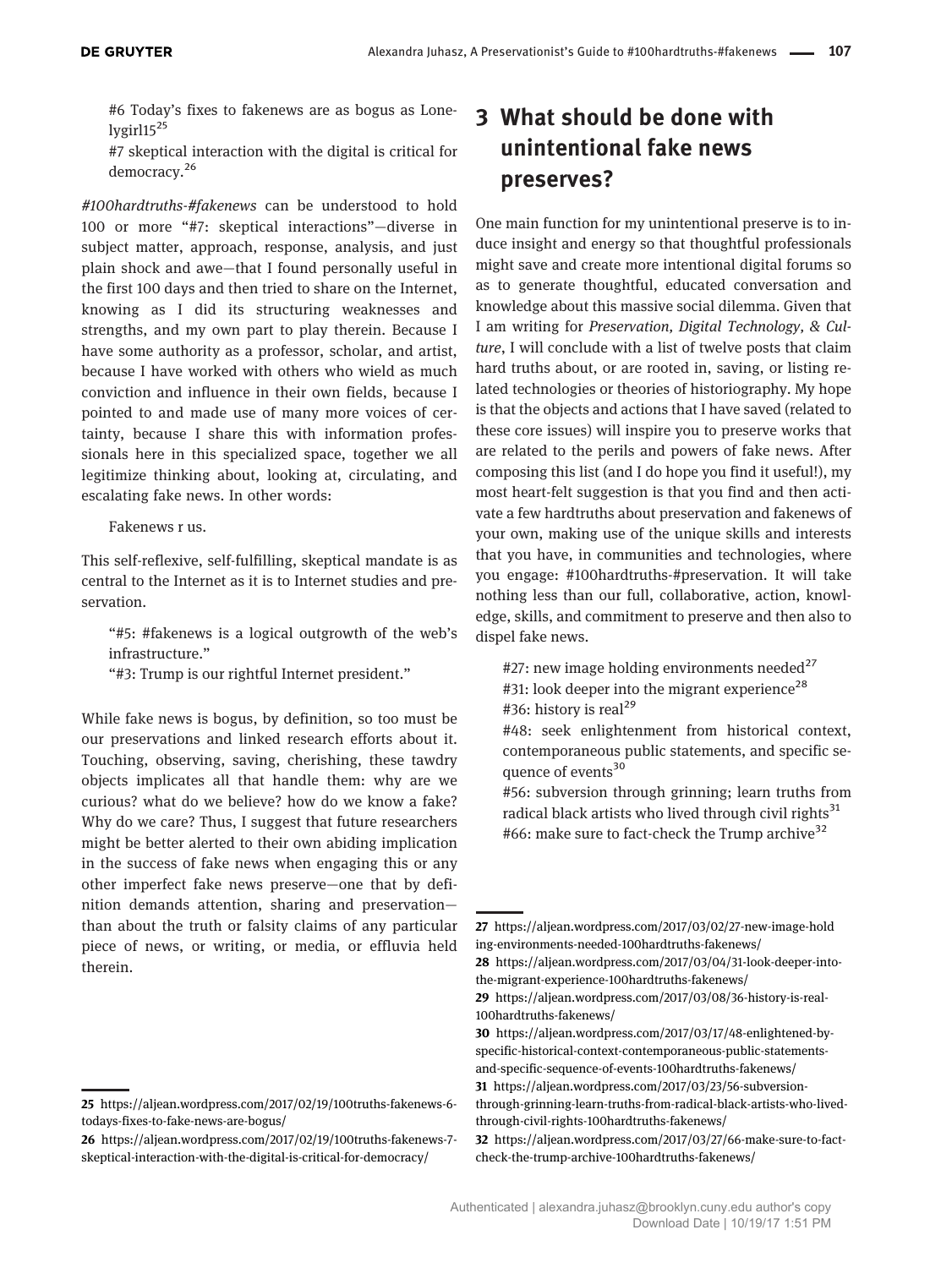#6 Today's fixes to fakenews are as bogus as Lone $l$ <sub>vgir</sub> $l$ 15<sup>25</sup>

#7 skeptical interaction with the digital is critical for democracy.<sup>26</sup>

*#100hardtruths-#fakenews* can be understood to hold 100 or more "#7: skeptical interactions"—diverse in subject matter, approach, response, analysis, and just plain shock and awe—that I found personally useful in the first 100 days and then tried to share on the Internet, knowing as I did its structuring weaknesses and strengths, and my own part to play therein. Because I have some authority as a professor, scholar, and artist, because I have worked with others who wield as much conviction and influence in their own fields, because I pointed to and made use of many more voices of certainty, because I share this with information professionals here in this specialized space, together we all legitimize thinking about, looking at, circulating, and escalating fake news. In other words:

Fakenews r us.

This self-reflexive, self-fulfilling, skeptical mandate is as central to the Internet as it is to Internet studies and preservation.

"#5: #fakenews is a logical outgrowth of the web's infrastructure."

"#3: Trump is our rightful Internet president."

While fake news is bogus, by definition, so too must be our preservations and linked research efforts about it. Touching, observing, saving, cherishing, these tawdry objects implicates all that handle them: why are we curious? what do we believe? how do we know a fake? Why do we care? Thus, I suggest that future researchers might be better alerted to their own abiding implication in the success of fake news when engaging this or any other imperfect fake news preserve—one that by definition demands attention, sharing and preservation than about the truth or falsity claims of any particular piece of news, or writing, or media, or effluvia held therein.

## **3 What should be done with unintentional fake news preserves?**

One main function for my unintentional preserve is to induce insight and energy so that thoughtful professionals might save and create more intentional digital forums so as to generate thoughtful, educated conversation and knowledge about this massive social dilemma. Given that I am writing for *Preservation, Digital Technology, & Culture*, I will conclude with a list of twelve posts that claim hard truths about, or are rooted in, saving, or listing related technologies or theories of historiography. My hope is that the objects and actions that I have saved (related to these core issues) will inspire you to preserve works that are related to the perils and powers of fake news. After composing this list (and I do hope you find it useful!), my most heart-felt suggestion is that you find and then activate a few hardtruths about preservation and fakenews of your own, making use of the unique skills and interests that you have, in communities and technologies, where you engage: #100hardtruths-#preservation. It will take nothing less than our full, collaborative, action, knowledge, skills, and commitment to preserve and then also to dispel fake news.

#27: new image holding environments needed $^{27}$  $#31$ : look deeper into the migrant experience<sup>28</sup> #36: history is real<sup>29</sup>

#48: seek enlightenment from historical context, contemporaneous public statements, and specific sequence of events<sup>30</sup>

#56: subversion through grinning; learn truths from radical black artists who lived through civil rights<sup>31</sup> #66: make sure to fact-check the Trump archive<sup>32</sup>

**<sup>25</sup>** https://aljean.wordpress.com/2017/02/19/100truths-fakenews-6 todays-fixes-to-fake-news-are-bogus/

**<sup>26</sup>** https://aljean.wordpress.com/2017/02/19/100truths-fakenews-7 skeptical-interaction-with-the-digital-is-critical-for-democracy/

**<sup>27</sup>** https://aljean.wordpress.com/2017/03/02/27-new-image-hold ing-environments-needed-100hardtruths-fakenews/

**<sup>28</sup>** https://aljean.wordpress.com/2017/03/04/31-look-deeper-intothe-migrant-experience-100hardtruths-fakenews/

**<sup>29</sup>** https://aljean.wordpress.com/2017/03/08/36-history-is-real-100hardtruths-fakenews/

**<sup>30</sup>** https://aljean.wordpress.com/2017/03/17/48-enlightened-byspecific-historical-context-contemporaneous-public-statementsand-specific-sequence-of-events-100hardtruths-fakenews/ **31** https://aljean.wordpress.com/2017/03/23/56-subversion-

through-grinning-learn-truths-from-radical-black-artists-who-livedthrough-civil-rights-100hardtruths-fakenews/

**<sup>32</sup>** https://aljean.wordpress.com/2017/03/27/66-make-sure-to-factcheck-the-trump-archive-100hardtruths-fakenews/